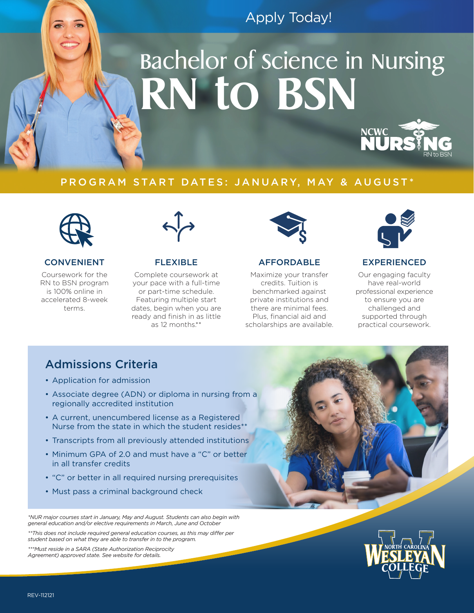## Apply Today!

# Bachelor of Science in Nursing **RN to BSN**



## PROGRAM START DATES: JANUARY, MAY & AUGUST\*



## CONVENIENT

Coursework for the RN to BSN program is 100% online in accelerated 8-week terms.



## FLEXIBLE

Complete coursework at your pace with a full-time or part-time schedule. Featuring multiple start dates, begin when you are ready and finish in as little as 12 months.\*\*



## AFFORDABLE

Maximize your transfer credits. Tuition is benchmarked against private institutions and there are minimal fees. Plus, financial aid and scholarships are available.



## EXPERIENCED

Our engaging faculty have real-world professional experience to ensure you are challenged and supported through practical coursework.

## Admissions Criteria

- Application for admission
- Associate degree (ADN) or diploma in nursing from a regionally accredited institution
- A current, unencumbered license as a Registered Nurse from the state in which the student resides\*
- Transcripts from all previously attended institutions
- Minimum GPA of 2.0 and must have a "C" or better in all transfer credits
- "C" or better in all required nursing prerequisites
- Must pass a criminal background check

*\*NUR major courses start in January, May and August. Students can also begin with general education and/or elective requirements in March, June and October*

*\*\*This does not include required general education courses, as this may differ per student based on what they are able to transfer in to the program.*

*\*\*\*Must reside in a SARA (State Authorization Reciprocity Agreement) approved state. See website for details.*